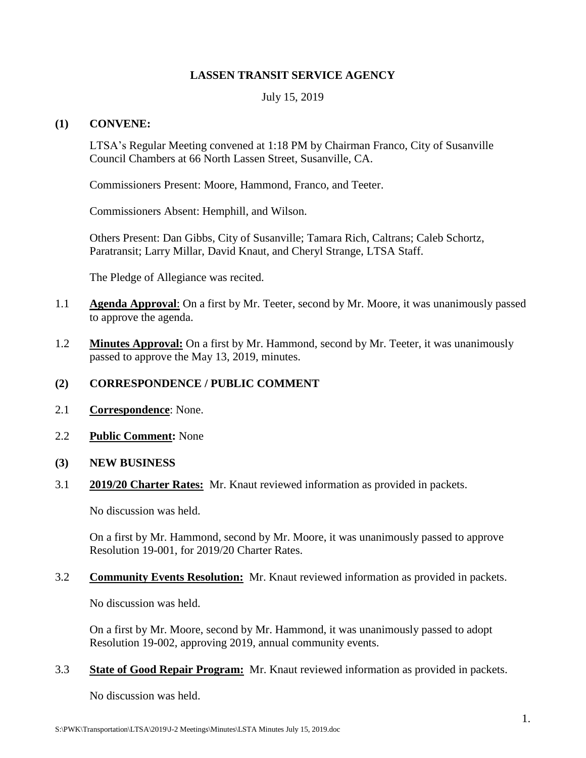# **LASSEN TRANSIT SERVICE AGENCY**

## July 15, 2019

## **(1) CONVENE:**

LTSA's Regular Meeting convened at 1:18 PM by Chairman Franco, City of Susanville Council Chambers at 66 North Lassen Street, Susanville, CA.

Commissioners Present: Moore, Hammond, Franco, and Teeter.

Commissioners Absent: Hemphill, and Wilson.

Others Present: Dan Gibbs, City of Susanville; Tamara Rich, Caltrans; Caleb Schortz, Paratransit; Larry Millar, David Knaut, and Cheryl Strange, LTSA Staff.

The Pledge of Allegiance was recited.

- 1.1 **Agenda Approval**: On a first by Mr. Teeter, second by Mr. Moore, it was unanimously passed to approve the agenda.
- 1.2 **Minutes Approval:** On a first by Mr. Hammond, second by Mr. Teeter, it was unanimously passed to approve the May 13, 2019, minutes.

# **(2) CORRESPONDENCE / PUBLIC COMMENT**

- 2.1 **Correspondence**: None.
- 2.2 **Public Comment:** None
- **(3) NEW BUSINESS**
- 3.1 **2019/20 Charter Rates:** Mr. Knaut reviewed information as provided in packets.

No discussion was held.

On a first by Mr. Hammond, second by Mr. Moore, it was unanimously passed to approve Resolution 19-001, for 2019/20 Charter Rates.

#### 3.2 **Community Events Resolution:** Mr. Knaut reviewed information as provided in packets.

No discussion was held.

On a first by Mr. Moore, second by Mr. Hammond, it was unanimously passed to adopt Resolution 19-002, approving 2019, annual community events.

## 3.3 **State of Good Repair Program:** Mr. Knaut reviewed information as provided in packets.

No discussion was held.